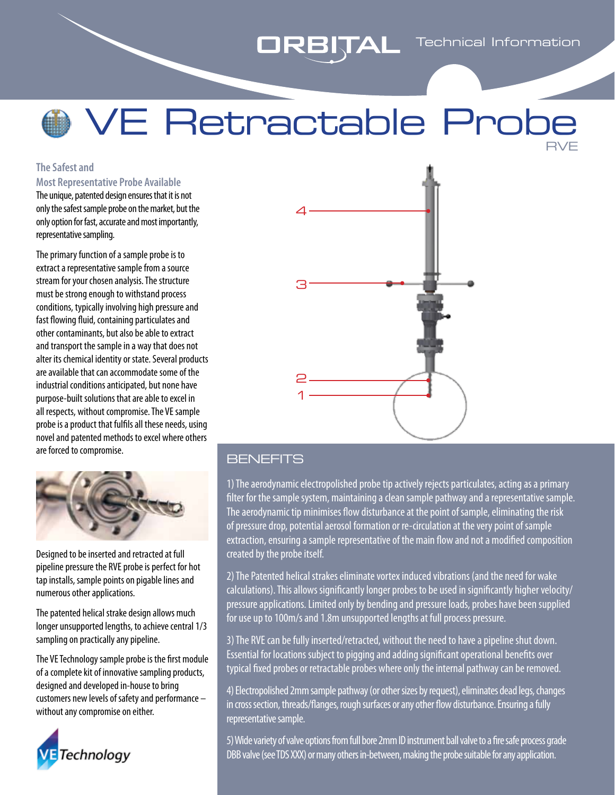# **ORBITAL** Technical Information

## VE Retractable Prob RVE

#### **The Safest and Most Representative Probe Available**

The unique, patented design ensures that it is not only the safest sample probe on the market, but the only option for fast, accurate and most importantly, representative sampling.

The primary function of a sample probe is to extract a representative sample from a source stream for your chosen analysis. The structure must be strong enough to withstand process conditions, typically involving high pressure and fast flowing fluid, containing particulates and other contaminants, but also be able to extract and transport the sample in a way that does not alter its chemical identity or state. Several products are available that can accommodate some of the industrial conditions anticipated, but none have purpose-built solutions that are able to excel in all respects, without compromise. The VE sample probe is a product that fulfils all these needs, using novel and patented methods to excel where others are forced to compromise.



Designed to be inserted and retracted at full pipeline pressure the RVE probe is perfect for hot tap installs, sample points on pigable lines and numerous other applications.

The patented helical strake design allows much longer unsupported lengths, to achieve central 1/3 sampling on practically any pipeline.

The VE Technology sample probe is the first module of a complete kit of innovative sampling products, designed and developed in-house to bring customers new levels of safety and performance – without any compromise on either.





### **BENEFITS**

1) The aerodynamic electropolished probe tip actively rejects particulates, acting as a primary filter for the sample system, maintaining a clean sample pathway and a representative sample. The aerodynamic tip minimises flow disturbance at the point of sample, eliminating the risk of pressure drop, potential aerosol formation or re-circulation at the very point of sample extraction, ensuring a sample representative of the main flow and not a modified composition created by the probe itself.

2) The Patented helical strakes eliminate vortex induced vibrations (and the need for wake calculations). This allows significantly longer probes to be used in significantly higher velocity/ pressure applications. Limited only by bending and pressure loads, probes have been supplied for use up to 100m/s and 1.8m unsupported lengths at full process pressure.

3) The RVE can be fully inserted/retracted, without the need to have a pipeline shut down. Essential for locations subject to pigging and adding significant operational benefits over typical fixed probes or retractable probes where only the internal pathway can be removed.

4) Electropolished 2mm sample pathway (or other sizes by request), eliminates dead legs, changes in cross section, threads/flanges, rough surfaces or any other flow disturbance. Ensuring a fully representative sample.

5) Wide variety of valve options from full bore 2mm ID instrument ball valve to a fire safe process grade DBB valve (see TDS XXX) or many others in-between, making the probe suitable for any application.